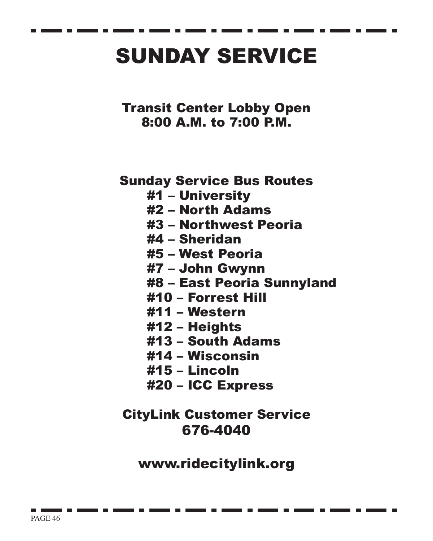## SUNDAY SERVICE

Transit Center Lobby Open 8:00 A.M. to 7:00 P.M.

Sunday Service Bus Routes

- #1 University
- #2 North Adams
- #3 Northwest Peoria
- #4 Sheridan
- #5 West Peoria
- #7 John Gwynn
- #8 East Peoria Sunnyland
- #10 Forrest Hill
- #11 Western
- #12 Heights
- #13 South Adams
- #14 Wisconsin
- #15 Lincoln
- #20 ICC Express

## CityLink Customer Service 676-4040

www.ridecitylink.org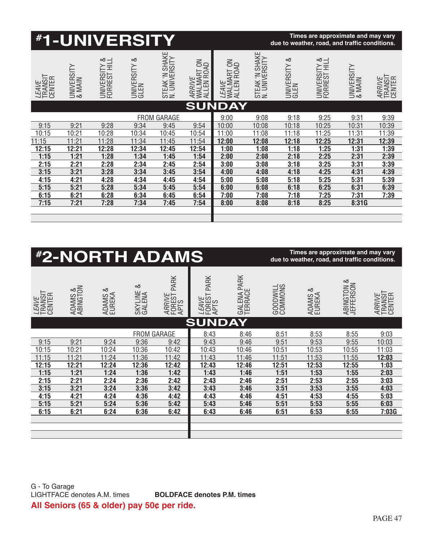|                                   |                      | <b><i>#1-UNIVERSITY</i></b>             |                 |                                 |                                    |                                                |                                 | due to weather, road, and traffic conditions. |                                         | Times are approximate and may vary |                             |
|-----------------------------------|----------------------|-----------------------------------------|-----------------|---------------------------------|------------------------------------|------------------------------------------------|---------------------------------|-----------------------------------------------|-----------------------------------------|------------------------------------|-----------------------------|
| <i>LEAVE</i><br>TRANSIT<br>CENTER | UNIVERSITY<br>& MAIN | <b>UNIVERSITY &amp;</b><br>FORREST HILL | ∞<br>UNIVERSITY | STEAK 'N SHAKE<br>N. UNIVERSITY | ARRIVE<br>WALMART ON<br>ALLEN ROAD | NO<br><i>LEAVE</i><br>WALMART ON<br>ALLEN ROAD | STEAK 'N SHAKE<br>N. UNIVERSITY | ∞<br>UNIVERSITY                               | <b>UNIVERSITY &amp;</b><br>FORREST HILL | UNIVERSITY<br>& MAIN               | ARRIVE<br>TRANSIT<br>CENTER |
|                                   |                      |                                         |                 |                                 |                                    | <b>SUNDAY</b>                                  |                                 |                                               |                                         |                                    |                             |
|                                   |                      |                                         | <b>FROM</b>     | GARAGE                          |                                    | 9:00                                           | 9:08                            | 9:18                                          | 9:25                                    | 9:31                               | 9:39                        |
| 9:15                              | 9:21                 | 9:28                                    | 9:34            | 9:45                            | 9:54                               | 10:00                                          | 10:08                           | 10:18                                         | 10:25                                   | 10:31                              | 10:39                       |
| 10:15                             | 10:21                | 10:28                                   | 10:34           | 10:45                           | 10:54                              | 11:00                                          | 11:08                           | 11:18                                         | 11:25                                   | 11:31                              | 11:39                       |
| 11:15                             | 11:21                | 11:28                                   | 11:34           | 11:45                           | 11:54                              | 12:00                                          | 12:08                           | 12:18                                         | 12:25                                   | 12:31                              | 12:39                       |
| 12:15                             | 12:21                | 12:28                                   | 12:34           | 12:45                           | 12:54                              | 1:00                                           | 1:08                            | 1:18                                          | 1:25                                    | 1:31                               | 1:39                        |
| 1:15                              | 1:21                 | 1:28                                    | 1:34            | 1:45                            | 1:54                               | 2:00                                           | 2:08                            | 2:18                                          | 2:25                                    | 2:31                               | 2:39                        |
| 2:15                              | 2:21                 | 2:28                                    | 2:34            | 2:45                            | 2:54                               | 3:00                                           | 3:08                            | 3:18                                          | 3:25                                    | 3:31                               | 3:39                        |
| 3:15                              | 3:21                 | 3:28                                    | 3:34            | 3:45                            | 3:54                               | 4:00                                           | 4:08                            | 4:18                                          | 4:25                                    | 4:31                               | 4:39                        |
| 4:15                              | 4:21                 | 4:28                                    | 4:34            | 4:45                            | 4:54                               | 5:00                                           | 5:08                            | 5:18                                          | 5:25                                    | 5:31                               | 5:39                        |
| 5:15                              | 5:21                 | 5:28                                    | 5:34            | 5:45                            | 5:54                               | 6:00                                           | 6:08                            | 6:18                                          | 6:25                                    | 6:31                               | 6:39                        |
| 6:15                              | 6:21                 | 6:28                                    | 6:34            | 6:45                            | 6:54                               | 7:00                                           | 7:08                            | 7:18                                          | 7:25                                    | 7:31                               | 7:39                        |
| 7:15                              | 7:21                 | 7:28                                    | 7:34            | 7:45                            | 7:54                               | 8:00                                           | 8:08                            | 8:18                                          | 8:25                                    | 8:31G                              |                             |
|                                   |                      |                                         |                 |                                 |                                    |                                                |                                 |                                               |                                         |                                    |                             |
|                                   |                      |                                         |                 |                                 |                                    |                                                |                                 |                                               |                                         |                                    |                             |

|                                   |                     |                        |                        | <b><i>#2-NORTH ADAMS</i></b>     |                                         |                        |                     | Times are approximate and may vary<br>due to weather, road, and traffic conditions. |                         |                             |
|-----------------------------------|---------------------|------------------------|------------------------|----------------------------------|-----------------------------------------|------------------------|---------------------|-------------------------------------------------------------------------------------|-------------------------|-----------------------------|
| <i>LEAVE</i><br>TRANSIT<br>CENTER | ADAMS &<br>ABINGTON | ∞<br>ADAMS &<br>EUREKA | ∞<br>SKYLINE<br>GALENA | PARK<br>ARRIVE<br>FOREST<br>APTS | PARK<br><i>LEAVE</i><br>FORESTI<br>APTS | GALENA PARK<br>TERRACE | GOODWILL<br>COMMONS | త<br>ADAMS &                                                                        | ABINGTON &<br>JEFFERSON | ARRIVE<br>TRANSIT<br>CENTER |
|                                   |                     |                        |                        |                                  | <b>SUNDAY</b>                           |                        |                     |                                                                                     |                         |                             |
|                                   |                     |                        | <b>FROM GARAGE</b>     |                                  | 8:43                                    | 8:46                   | 8:51                | 8:53                                                                                | 8:55                    | 9:03                        |
| 9:15                              | 9:21                | 9:24                   | 9:36                   | 9:42                             | 9:43                                    | 9:46                   | 9:51                | 9:53                                                                                | 9:55                    | 10:03                       |
| 10:15                             | 10:21               | 10:24                  | 10:36                  | 10:42                            | 10:43                                   | 10:46                  | 10:51               | 10:53                                                                               | 10:55                   | 11:03                       |
| 11:15                             | 11:21               | 11:24                  | 11:36                  | 11:42                            | 11:43                                   | 11:46                  | 11:51               | 11:53                                                                               | 11:55                   | 12:03                       |
| 12:15                             | 12:21               | 12:24                  | 12:36                  | 12:42                            | 12:43                                   | 12:46                  | 12:51               | 12:53                                                                               | 12:55                   | 1:03                        |
| 1:15                              | 1:21                | 1:24                   | 1:36                   | 1:42                             | 1:43                                    | 1:46                   | 1:51                | 1:53                                                                                | 1:55                    | 2:03                        |
| 2:15                              | 2:21                | 2:24                   | 2:36                   | 2:42                             | 2:43                                    | 2:46                   | 2:51                | 2:53                                                                                | 2:55                    | 3:03                        |
| 3:15                              | 3:21                | 3:24                   | 3:36                   | 3:42                             | 3:43                                    | 3:46                   | 3:51                | 3:53                                                                                | 3:55                    | 4:03                        |
| 4:15                              | 4:21                | 4:24                   | 4:36                   | 4:42                             | 4:43                                    | 4:46                   | 4:51                | 4:53                                                                                | 4:55                    | 5:03                        |
| 5:15                              | 5:21                | 5:24                   | 5:36                   | 5:42                             | 5:43                                    | 5:46                   | 5:51                | 5:53                                                                                | 5:55                    | 6:03                        |
| 6:15                              | 6:21                | 6:24                   | 6:36                   | 6:42                             | 6:43                                    | 6:46                   | 6:51                | 6:53                                                                                | 6:55                    | 7:03G                       |
|                                   |                     |                        |                        |                                  |                                         |                        |                     |                                                                                     |                         |                             |
|                                   |                     |                        |                        |                                  |                                         |                        |                     |                                                                                     |                         |                             |
|                                   |                     |                        |                        |                                  |                                         |                        |                     |                                                                                     |                         |                             |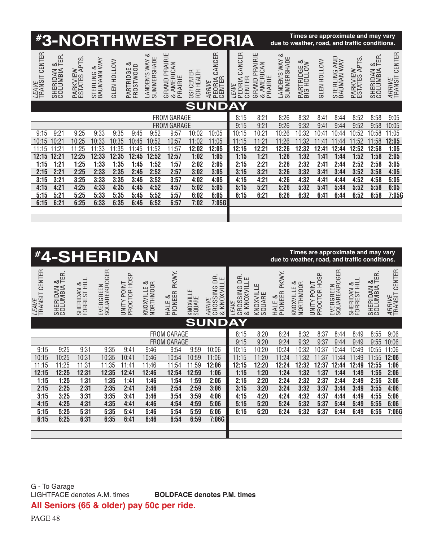|                            |                                      |                                |                                            |                    |                             |                                 |                                                  |                                | <b><i><b>#3-NORTHWEST PEORIA</b></i></b> |                                     |                                                  | due to weather, road, and traffic conditions. | Times are approximate and may vary |                    |                            |                          |                           |                               |
|----------------------------|--------------------------------------|--------------------------------|--------------------------------------------|--------------------|-----------------------------|---------------------------------|--------------------------------------------------|--------------------------------|------------------------------------------|-------------------------------------|--------------------------------------------------|-----------------------------------------------|------------------------------------|--------------------|----------------------------|--------------------------|---------------------------|-------------------------------|
| CENTER<br>LEAVE<br>TRANSIT | œ<br>ш<br>∞≍<br>SHERIDAN<br>COLUMBIA | PTS.<br>PARKVIEW<br>ESTATES AF | $\frac{8}{NAY}$<br>STERLING &<br>BAUMANN ' | <b>GLEN HOLLOW</b> | ∞<br>FROSTWOOD<br>PARTRIDGE | ∞<br>SUMMERSHADE<br>ANDEN'S WAY | <b>GRAND PRAIRIE</b><br>AMERICAN<br>PRAIRIE<br>∞ | CENTER<br>HEALTH<br>FOR<br>0SF | CANCER<br>PEORIA<br>CENTER<br>ARRIVE     | CANCER<br>CENTER<br>PEORIA<br>LEAVE | <b>GRAND PRAIRIE</b><br>AMERICAN<br>PRAIRIE<br>∞ | ∞<br>ш<br>LANDEN'S WAY<br>SUMMERSHAD          | PARTRIDGE &<br>BIG HOLLOW          | <b>GLEN HOLLOW</b> | STERLING AND<br>BAUMAN WAY | PARKVIEW<br>ESTATES APTS | $rac{8}{15R}$<br>SHERIDAN | CENTER<br>ARRIVE<br>TRANSIT ( |
|                            |                                      |                                |                                            |                    |                             |                                 |                                                  |                                | <b>SUNDAY</b>                            |                                     |                                                  |                                               |                                    |                    |                            |                          |                           |                               |
|                            |                                      |                                |                                            |                    |                             |                                 | <b>FROM GARAGE</b>                               |                                |                                          | 8:15                                | 8:21                                             | 8:26                                          | 8:32                               | 8:41               | 8:44                       | 8:52                     | 8:58                      | 9:05                          |
|                            |                                      |                                |                                            |                    |                             |                                 | <b>FROM GARAGE</b>                               |                                |                                          | 9:15                                | 9:21                                             | 9:26                                          | 9:32                               | 9:41               | 9:44                       | 9:52                     | 9:58                      | 10:05                         |
| 9:15                       | 9:21                                 | 9:25                           | 9:33                                       | 9:35               | 9:45                        | 9:52                            | 9:57                                             | 10:02                          | 10:05                                    | 10:15                               | 10:21                                            | 10:26                                         | 10:32                              | 10:41              | 10:44                      | 10:52                    | 10:58                     | 11:05                         |
| 10:15                      | 10:21                                | 10:25                          | 10:33                                      | 10:35              | 10:45                       | 10:52                           | 10:57                                            | 11:02                          | 11:05                                    | 11:15                               | 11:21                                            | 11:26                                         | 11:32                              | $11:4^{\circ}$     | 11:44                      | 1:52                     | 11:58                     | 12:05                         |
| 11:15                      | 11:21                                | 11:25                          | 11:33                                      | 11:35              | 11:45                       | 11:52                           | 11:57                                            | 12:02                          | 12:05                                    | 12:15                               | 12:21                                            | 12:26                                         | 12:32                              | 12:41              | 12:44                      | 12:52                    | 12:58                     | 1:05                          |
| 12:15                      | 12:21                                | 12:25                          | 12:33                                      | 12:35              | 12:45                       | 12:52                           | 12:57                                            | 1:02                           | 1:05                                     | 1:15                                | 1:21                                             | 1:26                                          | 1:32                               | 1:41               | 1:44                       | 1:52                     | 1:58                      | 2:05                          |
| 1:15                       | 1:21                                 | 1:25                           | 1:33                                       | 1:35               | 1:45                        | 1:52                            | 1:57                                             | 2:02                           | 2:05                                     | 2:15                                | 2:21                                             | 2:26                                          | 2:32                               | 2:41               | 2:44                       | 2:52                     | 2:58                      | 3:05                          |
| 2:15                       | 2:21                                 | 2:25                           | 2:33                                       | 2:35               | 2:45                        | 2:52                            | 2:57                                             | 3:02                           | 3:05                                     | 3:15                                | 3:21                                             | 3:26                                          | 3:32                               | 3:41               | 3:44                       | 3:52                     | 3:58                      | 4:05                          |
| 3:15                       | 3:21                                 | 3:25                           | 3:33                                       | 3:35               | 3:45                        | 3:52                            | 3:57                                             | 4:02                           | 4:05                                     | 4:15                                | 4:21                                             | 4:26                                          | 4:32                               | 4:41               | 4:44                       | 4:52                     | 4:58                      | 5:05                          |
| 4:15                       | 4:21                                 | 4:25                           | 4:33                                       | 4:35               | 4:45                        | 4:52                            | 4:57                                             | 5:02                           | 5:05                                     | 5:15                                | 5:21                                             | 5:26                                          | 5:32                               | 5:41               | 5:44                       | 5:52                     | 5:58                      | 6:05                          |
| 5:15                       | 5:21                                 | 5:25                           | 5:33                                       | 5:35               | 5:45                        | 5:52                            | 5:57                                             | 6:02                           | 6:05                                     | 6:15                                | 6:21                                             | 6:26                                          | 6:32                               | 6:41               | 6:44                       | 6:52                     | 6:58                      | 7:05G                         |
| 6:15                       | 6:21                                 | 6:25                           | 6:33                                       | 6:35               | 6:45                        | 6:52                            | 6:57                                             | 7:02                           | 7:05G                                    |                                     |                                                  |                                               |                                    |                    |                            |                          |                           |                               |
|                            |                                      |                                |                                            |                    |                             |                                 |                                                  |                                |                                          |                                     |                                                  |                                               |                                    |                    |                            |                          |                           |                               |
|                            |                                      |                                |                                            |                    |                             |                                 |                                                  |                                |                                          |                                     |                                                  |                                               |                                    |                    |                            |                          |                           |                               |

|                                |                                         |                            | <b><i>#4-SHERIDAN</i></b>  |                              |                          |                            |                     |                                       |                                                  |                     | due to weather, road, and traffic conditions. | Times are approximate and may vary    |                                     |                            |                            |                              |                             |
|--------------------------------|-----------------------------------------|----------------------------|----------------------------|------------------------------|--------------------------|----------------------------|---------------------|---------------------------------------|--------------------------------------------------|---------------------|-----------------------------------------------|---------------------------------------|-------------------------------------|----------------------------|----------------------------|------------------------------|-----------------------------|
| <i>LEAVE</i><br>TRANSIT CENTER | $rac{8}{15R}$<br>SHERIDAN &<br>COLUMBIA | SHERIDAN &<br>FORREST HILL | EVERGREEN<br>SQUARE/KROGER | PROCTOR HOSP.<br>UNITY POINT | KNOXVILLE &<br>NORTHMOOR | PKWY.<br>HALE &<br>PIONEER | KNOXVILLE<br>SQUARE | CROSSING DR.<br>& KNOXVILLE<br>ARRIVE | CROSSING DR.<br>& KNOXVILLE<br>CROSSING<br>LEAVE | KNOXVILLE<br>SQUARE | PKWY.<br>HALE &<br>PIONEER F                  | KNOXVILLE &<br>NORTHMOOR<br>KNOXVILLE | PROCTOR HOSP.<br><b>LNIDA ALINA</b> | EVERGREEN<br>SQUARE/KROGER | SHERIDAN &<br>FORREST HILL | $\alpha$<br>⊗⊫<br>SHERIDAN & | CENTER<br>ARRIVE<br>TRANSIT |
|                                |                                         |                            |                            |                              |                          |                            |                     | <b>SUNDAY</b>                         |                                                  |                     |                                               |                                       |                                     |                            |                            |                              |                             |
| <b>FROM GARAGE</b>             |                                         |                            |                            |                              |                          |                            |                     |                                       | 8:15                                             | 8:20                | 8:24                                          | 8:32                                  | 8:37                                | 8:44                       | 8:49                       | 8:55                         | 9:06                        |
|                                |                                         |                            |                            |                              |                          | <b>FROM GARAGE</b>         |                     |                                       | 9:15                                             | 9:20                | 9:24                                          | 9:32                                  | 9:37                                | 9:44                       | 9:49                       | 9:55                         | 0:06                        |
| 9:15                           | 9:25                                    | 9:31                       | 9:35                       | 9:41                         | 9:46                     | 9:54                       | 9:59                | 10:06                                 | 10:15                                            | 10:20               | 10:24                                         | 0:32                                  | 10:37                               | 10:44                      | 0:49                       | 10:55                        | 1:06                        |
| 10:15                          | 10:25                                   | 10:31                      | 10:35                      | 10:41                        | 10:46                    | 10:54                      | 10:59               | 11:06                                 | 11:15                                            | 11:20               | 11:24                                         | 1:32                                  | 11:37                               | 11:44                      | 1:49                       | 11:55                        | 12:06                       |
| 11:15                          | 11:25                                   | 11:31                      | 11:35                      | 11:41                        | 11:46                    | 11:54                      | 11:59               | 12:06                                 | 12:15                                            | 12:20               | 12:24                                         | 12:32                                 | 12:37                               | 12:44                      | 12:49                      | 12:55                        | 1:06                        |
| 12:15                          | 12:25                                   | 12:31                      | 12:35                      | 12:41                        | 12:46                    | 12:54                      | 12:59               | 1:06                                  | 1:15                                             | 1:20                | 1:24                                          | 1:32                                  | 1:37                                | 1:44                       | 1:49                       | 1:55                         | 2:06                        |
| 1:15                           | 1:25                                    | 1:31                       | 1:35                       | 1:41                         | 1:46                     | 1:54                       | 1:59                | 2:06                                  | 2:15                                             | 2:20                | 2:24                                          | 2:32                                  | 2:37                                | 2:44                       | 2:49                       | 2:55                         | 3:06                        |
| 2:15                           | 2:25                                    | 2:31                       | 2:35                       | 2:41                         | 2:46                     | 2:54                       | 2:59                | 3:06                                  | 3:15                                             | 3:20                | 3:24                                          | 3:32                                  | 3:37                                | 3:44                       | 3:49                       | 3:55                         | 4:06                        |
| 3:15                           | 3:25                                    | 3:31                       | 3:35                       | 3:41                         | 3:46                     | 3:54                       | 3:59                | 4:06                                  | 4:15                                             | 4:20                | 4:24                                          | 4:32                                  | 4:37                                | 4:44                       | 4:49                       | 4:55                         | 5:06                        |
| 4:15                           | 4:25                                    | 4:31                       | 4:35                       | 4:41                         | 4:46                     | 4:54                       | 4:59                | 5:06                                  | 5:15                                             | 5:20                | 5:24                                          | 5:32                                  | 5:37                                | 5:44                       | 5:49                       | 5:55                         | 6:06                        |
| 5:15                           | 5:25                                    | 5:31                       | 5:35                       | 5:41                         | 5:46                     | 5:54                       | 5:59                | 6:06                                  | 6:15                                             | 6:20                | 6:24                                          | 6:32                                  | 6:37                                | 6:44                       | 6:49                       | 6:55                         | 7:06G                       |
| 6:15                           | 6:25                                    | 6:31                       | 6:35                       | 6:41                         | 6:46                     | 6:54                       | 6:59                | 7:06G                                 |                                                  |                     |                                               |                                       |                                     |                            |                            |                              |                             |
|                                |                                         |                            |                            |                              |                          |                            |                     |                                       |                                                  |                     |                                               |                                       |                                     |                            |                            |                              |                             |
|                                |                                         |                            |                            |                              |                          |                            |                     |                                       |                                                  |                     |                                               |                                       |                                     |                            |                            |                              |                             |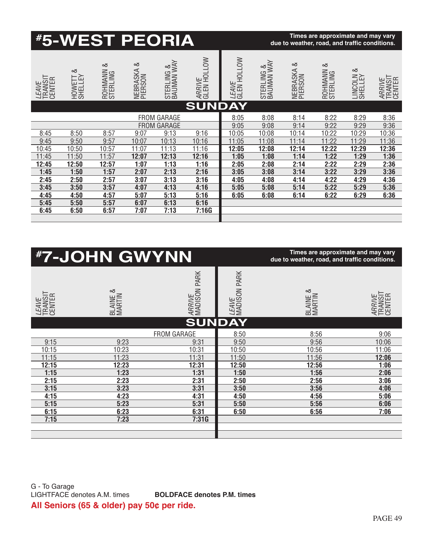|                                   |                          | <b><i><b>#5-WEST PEORIA</b></i></b> |                          |                          |                              |                             |                          | due to weather, road, and traffic conditions. | Times are approximate and may vary |                         |                             |
|-----------------------------------|--------------------------|-------------------------------------|--------------------------|--------------------------|------------------------------|-----------------------------|--------------------------|-----------------------------------------------|------------------------------------|-------------------------|-----------------------------|
| <i>LEAVE</i><br>TRANSIT<br>CENTER | ∞<br>HOWETT &<br>SHELLEY | ∞<br>ROHMANN                        | ∞<br>NEBRASKA<br>PIERSON | STERLING &<br>BAUMAN WAY | <i>ARRIVE</i><br>GLEN HOLLOW | <i>LEAVE</i><br>GLEN HOLLOW | STERLING &<br>BAUMAN WAY | త<br>NEBRASKA<br>PIERSON                      | ∞<br>ROHMANN                       | ∞<br>LINCOLN<br>SHELLEY | ARRIVE<br>TRANSIT<br>CENTER |
|                                   |                          |                                     |                          |                          | <b>SUNDAY</b>                |                             |                          |                                               |                                    |                         |                             |
|                                   |                          |                                     |                          | <b>FROM GARAGE</b>       |                              | 8:05                        | 8:08                     | 8:14                                          | 8:22                               | 8:29                    | 8:36                        |
|                                   |                          |                                     | <b>FROM</b>              | GARAGE                   |                              | 9:05                        | 9:08                     | 9:14                                          | 9:22                               | 9:29                    | 9:36                        |
| 8:45                              | 8:50                     | 8:57                                | 9:07                     | 9:13                     | 9:16                         | 10:05                       | 10:08                    | 10:14                                         | 10:22                              | 10:29                   | 10:36                       |
| 9:45                              | 9:50                     | 9:57                                | 10:07                    | 10:13                    | 10:16                        | 11:05                       | 11:08                    | 11:14                                         | 11:22                              | 11:29                   | 11:36                       |
| 10:45                             | 10:50                    | 10:57                               | 11:07                    | 11:13                    | 11:16                        | 12:05                       | 12:08                    | 12:14                                         | 12:22                              | 12:29                   | 12:36                       |
| 11:45                             | 11:50                    | 11:57                               | 12:07                    | 12:13                    | 12:16                        | 1:05                        | 1:08                     | 1:14                                          | 1:22                               | 1:29                    | 1:36                        |
| 12:45                             | 12:50                    | 12:57                               | 1:07                     | 1:13                     | 1:16                         | 2:05                        | 2:08                     | 2:14                                          | 2:22                               | 2:29                    | 2:36                        |
| 1:45                              | 1:50                     | 1:57                                | 2:07                     | 2:13                     | 2:16                         | 3:05                        | 3:08                     | 3:14                                          | 3:22                               | 3:29                    | 3:36                        |
| 2:45                              | 2:50                     | 2:57                                | 3:07                     | 3:13                     | 3:16                         | 4:05                        | 4:08                     | 4:14                                          | 4:22                               | 4:29                    | 4:36                        |
| 3:45                              | 3:50                     | 3:57                                | 4:07                     | 4:13                     | 4:16                         | 5:05                        | 5:08                     | 5:14                                          | 5:22                               | 5:29                    | 5:36                        |
| 4:45                              | 4:50                     | 4:57                                | 5:07                     | 5:13                     | 5:16                         | 6:05                        | 6:08                     | 6:14                                          | 6:22                               | 6:29                    | 6:36                        |
| 5:45                              | 5:50                     | 5:57                                | 6:07                     | 6:13                     | 6:16                         |                             |                          |                                               |                                    |                         |                             |
| 6:45                              | 6:50                     | 6:57                                | 7:07                     | 7:13                     | 7:16G                        |                             |                          |                                               |                                    |                         |                             |
|                                   |                          |                                     |                          |                          |                              |                             |                          |                                               |                                    |                         |                             |

|                                   | <b><i>#7-JOHN GWYNN</i></b> |                               |                              | Times are approximate and may vary<br>due to weather, road, and traffic conditions. |                             |
|-----------------------------------|-----------------------------|-------------------------------|------------------------------|-------------------------------------------------------------------------------------|-----------------------------|
| <i>LEAVE</i><br>TRANSIT<br>CENTER | చ<br>BLAINE 8<br>MARTIN     | <i>ARRIVE</i><br>MADISON PARK | <i>leave</i><br>Madison Park | ∞<br>BLAINE &<br>MARTIN                                                             | ARRIVE<br>TRANSIT<br>CENTER |
|                                   |                             | <b>SUNDAY</b>                 |                              |                                                                                     |                             |
|                                   |                             | <b>FROM GARAGE</b>            | 8:50                         | 8:56                                                                                | 9:06                        |
| 9:15                              | 9:23                        | 9:31                          | 9:50                         | 9:56                                                                                | 10:06                       |
| 10:15                             | 10:23                       | 10:31                         | 10:50                        | 10:56                                                                               | 11:06                       |
| 11:15                             | 11:23                       | 11:31                         | 11:50                        | 11:56                                                                               | 12:06                       |
| 12:15                             | 12:23                       | 12:31                         | 12:50                        | 12:56                                                                               | 1:06                        |
| 1:15                              | 1:23                        | 1:31                          | 1:50                         | 1:56                                                                                | 2:06                        |
| 2:15                              | 2:23                        | 2:31                          | 2:50                         | 2:56                                                                                | 3:06                        |
| 3:15                              | 3:23                        | 3:31                          | 3:50                         | 3:56                                                                                | 4:06                        |
| 4:15                              | 4:23                        | 4:31                          | 4:50                         | 4:56                                                                                | 5:06                        |
| 5:15                              | 5:23                        | 5:31                          | 5:50                         | 5:56                                                                                | 6:06                        |
| 6:15                              | 6:23                        | 6:31                          | 6:50                         | 6:56                                                                                | 7:06                        |
| 7:15                              | 7:23                        | 7:31G                         |                              |                                                                                     |                             |
|                                   |                             |                               |                              |                                                                                     |                             |
|                                   |                             |                               |                              |                                                                                     |                             |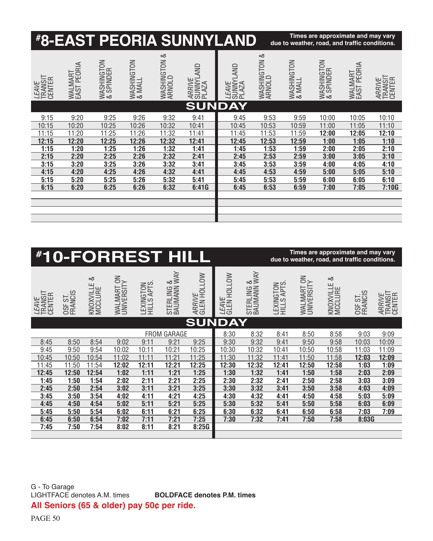|                                   |                        |                         |                      |                        | <b><i><b>#8-EAST PEORIA SUNNYLAND</b></i></b> |                                    |                        | due to weather, road, and traffic conditions. | Times are approximate and may vary |                        |                             |
|-----------------------------------|------------------------|-------------------------|----------------------|------------------------|-----------------------------------------------|------------------------------------|------------------------|-----------------------------------------------|------------------------------------|------------------------|-----------------------------|
| <i>LEAVE</i><br>TRANSIT<br>CENTER | WALMART<br>EAST PEORIA | WASHINGTON<br>& SPINDER | WASHINGTON<br>& MALL | WASHINGTON &<br>ARNOLD | <i>ARRIVE</i><br>SUNNYLAND<br>PLAZA           | <i>LEAVE</i><br>SUNNYLAND<br>PLAZA | WASHINGTON &<br>ARNOLD | WASHINGTON<br>& MALL                          | WASHINGTON<br>& SPINDER            | WALMART<br>EAST PEORIA | ARRIVE<br>TRANSIT<br>CENTER |
|                                   |                        |                         |                      |                        | <b>SUNDAY</b>                                 |                                    |                        |                                               |                                    |                        |                             |
| 9:15                              | 9:20                   | 9:25                    | 9:26                 | 9:32                   | 9:41                                          | 9:45                               | 9:53                   | 9:59                                          | 10:00                              | 10:05                  | 10:10                       |
| 10:15                             | 10:20                  | 10:25                   | 10:26                | 10:32                  | 10:41                                         | 10:45                              | 10:53                  | 10:59                                         | 11:00                              | 11:05                  | 11:10                       |
| 11:15                             | 11:20                  | 11:25                   | 11:26                | 11:32                  | 11:41                                         | 11:45                              | 11:53                  | 11:59                                         | 12:00                              | 12:05                  | 12:10                       |
| 12:15                             | 12:20                  | 12:25                   | 12:26                | 12:32                  | 12:41                                         | 12:45                              | 12:53                  | 12:59                                         | 1:00                               | 1:05                   | 1:10                        |
| 1:15                              | 1:20                   | 1:25                    | 1:26                 | 1:32                   | 1:41                                          | 1:45                               | 1:53                   | 1:59                                          | 2:00                               | 2:05                   | 2:10                        |
| 2:15                              | 2:20                   | 2:25                    | 2:26                 | 2:32                   | 2:41                                          | 2:45                               | 2:53                   | 2:59                                          | 3:00                               | 3:05                   | 3:10                        |
| 3:15                              | 3:20                   | 3:25                    | 3:26                 | 3:32                   | 3:41                                          | 3:45                               | 3:53                   | 3:59                                          | 4:00                               | 4:05                   | 4:10                        |
| 4:15                              | 4:20                   | 4:25                    | 4:26                 | 4:32                   | 4:41                                          | 4:45                               | 4:53                   | 4:59                                          | 5:00                               | 5:05                   | 5:10                        |
| 5:15                              | 5:20                   | 5:25                    | 5:26                 | 5:32                   | 5:41                                          | 5:45                               | 5:53                   | 5:59                                          | 6:00                               | 6:05                   | 6:10                        |
| 6:15                              | 6:20                   | 6:25                    | 6:26                 | 6:32                   | 6:41G                                         | 6:45                               | 6:53                   | 6:59                                          | 7:00                               | 7:05                   | 7:10G                       |
|                                   |                        |                         |                      |                        |                                               |                                    |                        |                                               |                                    |                        |                             |
|                                   |                        |                         |                      |                        |                                               |                                    |                        |                                               |                                    |                        |                             |
|                                   |                        |                         |                      |                        |                                               |                                    |                        |                                               |                                    |                        |                             |
|                                   |                        |                         |                      |                        |                                               |                                    |                        |                                               |                                    |                        |                             |

|                                   |                    |                | <b><i><i><b>#10-FORREST HILL</b></i></i></b> |                          |                           |                       |                             |                           |                          |                          | Times are approximate and may vary<br>due to weather, road, and traffic conditions. |                    |                             |
|-----------------------------------|--------------------|----------------|----------------------------------------------|--------------------------|---------------------------|-----------------------|-----------------------------|---------------------------|--------------------------|--------------------------|-------------------------------------------------------------------------------------|--------------------|-----------------------------|
| <i>LEAVE</i><br>TRANSIT<br>CENTER | OSF ST.<br>FRANCIS | ∞<br>KNOXVILLE | WALMART ON<br>UNIVERSITY                     | LEXINGTON<br>HILLS APTS. | STERLING &<br>BAUMANN WAY | ARRIVE<br>GLEN HOLLOW | <i>LEAVE</i><br>GLEN HOLLOW | STERLING &<br>BAUMANN WAY | LEXINGTON<br>HILLS APTS. | WALMART ON<br>UNIVERSITY | ∞<br>KNOXVILLE                                                                      | OSF ST.<br>FRANCIS | ARRIVE<br>TRANSIT<br>CENTER |
|                                   |                    |                |                                              |                          |                           | <b>SUNDAY</b>         |                             |                           |                          |                          |                                                                                     |                    |                             |
|                                   |                    |                |                                              |                          | <b>FROM GARAGE</b>        |                       | 8:30                        | 8:32                      | 8:41                     | 8:50                     | 8:58                                                                                | 9:03               | 9:09                        |
| 8:45                              | 8:50               | 8:54           | 9:02                                         | 9:11                     | 9:21                      | 9:25                  | 9:30                        | 9:32                      | 9:41                     | 9:50                     | 9:58                                                                                | 10:03              | 10:09                       |
| 9:45                              | 9:50               | 9:54           | 10:02                                        | 10:11                    | 10:21                     | 10:25                 | 10:30                       | 10:32                     | 10:41                    | 10:50                    | 10:58                                                                               | 11:03              | 11:09                       |
| 10:45                             | 10:50              | 10:54          | 11:02                                        | 11:11                    | 11:21                     | 11:25                 | 11:30                       | 11:32                     | 11:41                    | 11:50                    | 11:58                                                                               | 12:03              | 12:09                       |
| 11:45                             | 11:50              | 11:54          | 12:02                                        | 12:11                    | 12:21                     | 12:25                 | 12:30                       | 12:32                     | 12:41                    | 12:50                    | 12:58                                                                               | 1:03               | 1:09                        |
| 12:45                             | 12:50              | 12:54          | 1:02                                         | 1:11                     | 1:21                      | 1:25                  | 1:30                        | 1:32                      | 1:41                     | 1:50                     | 1:58                                                                                | 2:03               | 2:09                        |
| 1:45                              | 1:50               | 1:54           | 2:02                                         | 2:11                     | 2:21                      | 2:25                  | 2:30                        | 2:32                      | 2:41                     | 2:50                     | 2:58                                                                                | 3:03               | 3:09                        |
| 2:45                              | 2:50               | 2:54           | 3:02                                         | 3:11                     | 3:21                      | 3:25                  | 3:30                        | 3:32                      | 3:41                     | 3:50                     | 3:58                                                                                | 4:03               | 4:09                        |
| 3:45                              | 3:50               | 3:54           | 4:02                                         | 4:11                     | 4:21                      | 4:25                  | 4:30                        | 4:32                      | 4:41                     | 4:50                     | 4:58                                                                                | 5:03               | 5:09                        |
| 4:45                              | 4:50               | 4:54           | 5:02                                         | 5:11                     | 5:21                      | 5:25                  | 5:30                        | 5:32                      | 5:41                     | 5:50                     | 5:58                                                                                | 6:03               | 6:09                        |
| 5:45                              | 5:50               | 5:54           | 6:02                                         | 6:11                     | 6:21                      | 6:25                  | 6:30                        | 6:32                      | 6:41                     | 6:50                     | 6:58                                                                                | 7:03               | 7:09                        |
| 6:45                              | 6:50               | 6:54           | 7:02                                         | 7:11                     | 7:21                      | 7:25                  | 7:30                        | 7:32                      | 7:41                     | 7:50                     | 7:58                                                                                | 8:03G              |                             |
| 7:45                              | 7:50               | 7:54           | 8:02                                         | 8:11                     | 8:21                      | 8:25G                 |                             |                           |                          |                          |                                                                                     |                    |                             |
|                                   |                    |                |                                              |                          |                           |                       |                             |                           |                          |                          |                                                                                     |                    |                             |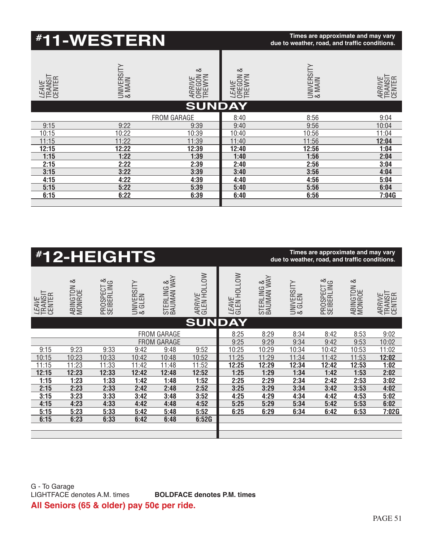|                                   | <b><i>#1</i>1-WESTERN</b> |                                 |                                       | Times are approximate and may vary<br>due to weather, road, and traffic conditions. |                                    |
|-----------------------------------|---------------------------|---------------------------------|---------------------------------------|-------------------------------------------------------------------------------------|------------------------------------|
| <i>LEAVE</i><br>TRANSIT<br>CENTER | UNIVERSITY<br>& MAIN      | ∞<br>ARRIVE<br>OREGON<br>TREWYN | ∞<br><i>LEAVE</i><br>OREGON<br>TREWYN | UNIVERSITY<br>& MAIN                                                                | <i>ARRIVE</i><br>TRANSIT<br>CENTER |
|                                   |                           | <b>SUNDAY</b>                   |                                       |                                                                                     |                                    |
|                                   |                           | <b>FROM GARAGE</b>              | 8:40                                  | 8:56                                                                                | 9:04                               |
| 9:15                              | 9:22                      | 9:39                            | 9:40                                  | 9:56                                                                                | 10:04                              |
| 10:15                             | 10:22                     | 10:39                           | 10:40                                 | 10:56                                                                               | 11:04                              |
| 11:15                             | 11:22                     | 11:39                           | 11:40                                 | 11:56                                                                               | 12:04                              |
| 12:15                             | 12:22                     | 12:39                           | 12:40                                 | 12:56                                                                               | 1:04                               |
| 1:15                              | 1:22                      | 1:39                            | 1:40                                  | 1:56                                                                                | 2:04                               |
| 2:15                              | 2:22                      | 2:39                            | 2:40                                  | 2:56                                                                                | 3:04                               |
| 3:15                              | 3:22                      | 3:39                            | 3:40                                  | 3:56                                                                                | 4:04                               |
| 4:15                              | 4:22                      | 4:39                            | 4:40                                  | 4:56                                                                                | 5:04                               |
| 5:15                              | 5:22                      | 5:39                            | 5:40                                  | 5:56                                                                                | 6:04                               |
| 6:15                              | 6:22                      | 6:39                            | 6:40                                  | 6:56                                                                                | 7:04G                              |

|                                   |                      | <b><i>#12-HEIGHTS</i></b> |                      |                                          |                       |                             |                          | due to weather, road, and traffic conditions. | Times are approximate and may vary |                      |                                    |
|-----------------------------------|----------------------|---------------------------|----------------------|------------------------------------------|-----------------------|-----------------------------|--------------------------|-----------------------------------------------|------------------------------------|----------------------|------------------------------------|
| <i>LEAVE</i><br>TRANSIT<br>CENTER | ABINGTON &<br>MONROE | PROSPECT &<br>SEIBERLING  | UNIVERSITY<br>& GLEN | STERLING &<br>BAUMAN WAY                 | ARRIVE<br>GLEN HOLLOW | <i>LEAVE</i><br>GLEN HOLLOW | STERLING &<br>BAUMAN WAY | UNIVERSITY<br>& GLEN                          | ∞<br>PROSPECT &<br>SEIBERLING      | ABINGTON &<br>MONROE | <i>ARRIVE</i><br>TRANSIT<br>CENTER |
|                                   |                      |                           |                      |                                          | <b>SUNDAY</b>         |                             |                          |                                               |                                    |                      |                                    |
|                                   |                      |                           |                      | <b>FROM GARAGE</b><br><b>FROM GARAGE</b> |                       | 8:25<br>9:25                | 8:29<br>9:29             | 8:34<br>9:34                                  | 8:42<br>9:42                       | 8:53<br>9:53         | 9:02<br>10:02                      |
| 9:15                              | 9:23                 | 9:33                      | 9:42                 | 9:48                                     | 9:52                  | 10:25                       | 10:29                    | 10:34                                         | 10:42                              | 10:53                | 11:02                              |
| 10:15                             | 10:23                | 10:33                     | 10:42                | 10:48                                    | 10:52                 | 11:25                       | 11:29                    | 11:34                                         | 11:42                              | 11:53                | 12:02                              |
| 11:15                             | 11:23                | 11:33                     | 11:42                | 11:48                                    | 11:52                 | 12:25                       | 12:29                    | 12:34                                         | 12:42                              | 12:53                | 1:02                               |
| 12:15                             | 12:23                | 12:33                     | 12:42                | 12:48                                    | 12:52                 | 1:25                        | 1:29                     | 1:34                                          | 1:42                               | 1:53                 | 2:02                               |
| 1:15                              | 1:23                 | 1:33                      | 1:42                 | 1:48                                     | 1:52                  | 2:25                        | 2:29                     | 2:34                                          | 2:42                               | 2:53                 | 3:02                               |
| 2:15                              | 2:23                 | 2:33                      | 2:42                 | 2:48                                     | 2:52                  | 3:25                        | 3:29                     | 3:34                                          | 3:42                               | 3:53                 | 4:02                               |
| 3:15                              | 3:23                 | 3:33                      | 3:42                 | 3:48                                     | 3:52                  | 4:25                        | 4:29                     | 4:34                                          | 4:42                               | 4:53                 | 5:02                               |
| 4:15                              | 4:23                 | 4:33                      | 4:42                 | 4:48                                     | 4:52                  | 5:25                        | 5:29                     | 5:34                                          | 5:42                               | 5:53                 | 6:02                               |
| 5:15                              | 5:23                 | 5:33                      | 5:42                 | 5:48                                     | 5:52                  | 6:25                        | 6:29                     | 6:34                                          | 6:42                               | 6:53                 | 7:02G                              |
| 6:15                              | 6:23                 | 6:33                      | 6:42                 | 6:48                                     | 6:52G                 |                             |                          |                                               |                                    |                      |                                    |
|                                   |                      |                           |                      |                                          |                       |                             |                          |                                               |                                    |                      |                                    |
|                                   |                      |                           |                      |                                          |                       |                             |                          |                                               |                                    |                      |                                    |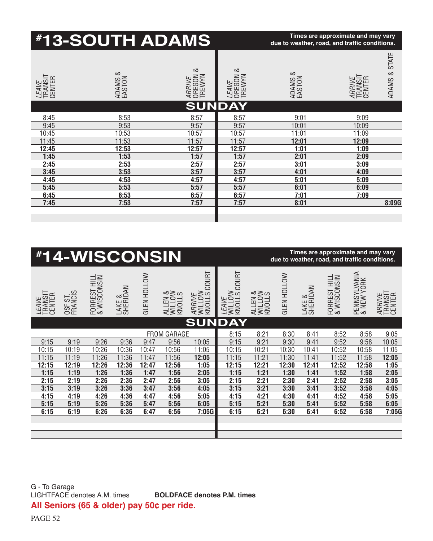|                                                                                                 |                    |                             |                                                                                                 |                    | <b><i>#13-SOUTH ADAMS</i></b> |                                                                                                                |                                                                                                              |                             |                    |                                                                                                 | Times are approximate and may vary<br>due to weather, road, and traffic conditions. |                                                                                         |                             |
|-------------------------------------------------------------------------------------------------|--------------------|-----------------------------|-------------------------------------------------------------------------------------------------|--------------------|-------------------------------|----------------------------------------------------------------------------------------------------------------|--------------------------------------------------------------------------------------------------------------|-----------------------------|--------------------|-------------------------------------------------------------------------------------------------|-------------------------------------------------------------------------------------|-----------------------------------------------------------------------------------------|-----------------------------|
| <i>LEAVE</i><br>TRANSIT<br>CENTER                                                               |                    |                             | ADAMS &<br>EASTON                                                                               |                    |                               | ∞<br>ARRIVE<br>OREGON<br>TREWYN                                                                                | ∞<br>OREGON<br>TREWYN<br>LEAVE                                                                               |                             |                    | ADAMS &<br>EASTON                                                                               |                                                                                     | ARRIVE<br>TRANSIT<br>CENTER                                                             | ADAMS & STATE               |
| 8:45<br>9:45<br>10:45<br>11:45<br>12:45<br>1:45<br>2:45<br>3:45<br>4:45<br>5:45<br>6:45<br>7:45 |                    |                             | 8:53<br>9:53<br>10:53<br>11:53<br>12:53<br>1:53<br>2:53<br>3:53<br>4:53<br>5:53<br>6:53<br>7:53 |                    |                               | <b>SUND</b><br>8:57<br>9:57<br>10:57<br>11:57<br>12:57<br>1:57<br>2:57<br>3:57<br>4:57<br>5:57<br>6:57<br>7:57 | <b>AY</b><br>8:57<br>9:57<br>10:57<br>11:57<br>12:57<br>1:57<br>2:57<br>3:57<br>4:57<br>5:57<br>6:57<br>7:57 |                             |                    | 9:01<br>10:01<br>11:01<br>12:01<br>1:01<br>2:01<br>3:01<br>4:01<br>5:01<br>6:01<br>7:01<br>8:01 |                                                                                     | 9:09<br>10:09<br>11:09<br>12:09<br>1:09<br>2:09<br>3:09<br>4:09<br>5:09<br>6:09<br>7:09 | 8:09G                       |
| #14-WISCONSIN                                                                                   |                    |                             |                                                                                                 |                    |                               |                                                                                                                |                                                                                                              |                             |                    |                                                                                                 | Times are approximate and may vary<br>due to weather, road, and traffic conditions. |                                                                                         |                             |
| <i>LEAVE</i><br>TRANSIT<br>CENTER                                                               | OSF ST.<br>FRANCIS | FORREST HILL<br>& WISCONSIN | LAKE &<br>SHERIDAN                                                                              | <b>GLEN HOLLOW</b> | KNOLLS<br>WILLOW<br>WILLOW    | <b>COURT</b><br>ARRIVE<br>WILLOW<br>KNOLLS (                                                                   | WILLOW<br>KNOLLS COURT<br>LEAVE                                                                              | ALLEN &<br>WILLOW<br>MILLOW | <b>GLEN HOLLOW</b> | LAKE &<br>SHERIDAN                                                                              | FORREST HILL<br>& WISCONSIN                                                         | PENNSYLVANIA<br>& NEW YORK                                                              | TRANSIT<br>CENTER<br>ARRIVE |

|                                   |                    | <b><i>#14-WISCONSIN</i></b> |                    |                    |                             |                                     |                                 |                             |                    |                    | Times are approximate and may vary<br>due to weather, road, and traffic conditions. |                            |                                    |
|-----------------------------------|--------------------|-----------------------------|--------------------|--------------------|-----------------------------|-------------------------------------|---------------------------------|-----------------------------|--------------------|--------------------|-------------------------------------------------------------------------------------|----------------------------|------------------------------------|
| <i>LEAVE</i><br>TRANSIT<br>CENTER | OSF ST.<br>FRANCIS | FORREST HILL<br>& WISCONSIN | LAKE &<br>SHERIDAN | <b>GLEN HOLLOW</b> | ALLEN &<br>WILLOW<br>WILLOW | COURT<br>ARRIVE<br>WILLOW<br>MILLOW | LEAVE<br>WILLOW<br>KNOLLS COURT | ALLEN &<br>WILLOW<br>WILLOW | <b>GLEN HOLLOW</b> | LAKE &<br>SHERIDAN | FORREST HILL<br>& WISCONSIN                                                         | PENNSYLVANIA<br>& NEW YORK | <i>ARRIVE</i><br>TRANSIT<br>CENTER |
|                                   |                    |                             |                    |                    |                             | <b>SUNDAY</b>                       |                                 |                             |                    |                    |                                                                                     |                            |                                    |
|                                   |                    | <b>FROM GARAGE</b>          |                    |                    |                             |                                     | 8:15                            | 8:21                        | 8:30               | 8:41               | 8:52                                                                                | 8:58                       | 9:05                               |
| 9:15                              | 9:19               | 9:26                        | 9:36               | 9:47               | 9:56                        | 10:05                               | 9:15                            | 9:21                        | 9:30               | 9:41               | 9:52                                                                                | 9:58                       | 10:05                              |
| 10:15                             | 10:19              | 10:26                       | 10:36              | 10:47              | 10:56                       | 11:05                               | 10:15                           | 10:21                       | 10:30              | 10:41              | 10:52                                                                               | 10:58                      | 11:05                              |
| 11:15                             | 11:19              | 11:26                       | 11:36              | 11:47              | 11:56                       | 12:05                               | 11:15                           | 11:21                       | 11:30              | 11:41              | 11:52                                                                               | 11:58                      | 12:05                              |
| 12:15                             | 12:19              | 12:26                       | 12:36              | 12:47              | 12:56                       | 1:05                                | 12:15                           | 12:21                       | 12:30              | 12:41              | 12:52                                                                               | 12:58                      | 1:05                               |
| 1:15                              | 1:19               | 1:26                        | 1:36               | 1:47               | 1:56                        | 2:05                                | 1:15                            | 1:21                        | 1:30               | 1:41               | 1:52                                                                                | 1:58                       | 2:05                               |
| 2:15                              | 2:19               | 2:26                        | 2:36               | 2:47               | 2:56                        | 3:05                                | 2:15                            | 2:21                        | 2:30               | 2:41               | 2:52                                                                                | 2:58                       | 3:05                               |
| 3:15                              | 3:19               | 3:26                        | 3:36               | 3:47               | 3:56                        | 4:05                                | 3:15                            | 3:21                        | 3:30               | 3:41               | 3:52                                                                                | 3:58                       | 4:05                               |
| 4:15                              | 4:19               | 4:26                        | 4:36               | 4:47               | 4:56                        | 5:05                                | 4:15                            | 4:21                        | 4:30               | 4:41               | 4:52                                                                                | 4:58                       | 5:05                               |
| 5:15                              | 5:19               | 5:26                        | 5:36               | 5:47               | 5:56                        | 6:05                                | 5:15                            | 5:21                        | 5:30               | 5:41               | 5:52                                                                                | 5:58                       | 6:05                               |
| 6:15                              | 6:19               | 6:26                        | 6:36               | 6:47               | 6:56                        | 7:05G                               | 6:15                            | 6:21                        | 6:30               | 6:41               | 6:52                                                                                | 6:58                       | 7:05G                              |
|                                   |                    |                             |                    |                    |                             |                                     |                                 |                             |                    |                    |                                                                                     |                            |                                    |
|                                   |                    |                             |                    |                    |                             |                                     |                                 |                             |                    |                    |                                                                                     |                            |                                    |
|                                   |                    |                             |                    |                    |                             |                                     |                                 |                             |                    |                    |                                                                                     |                            |                                    |